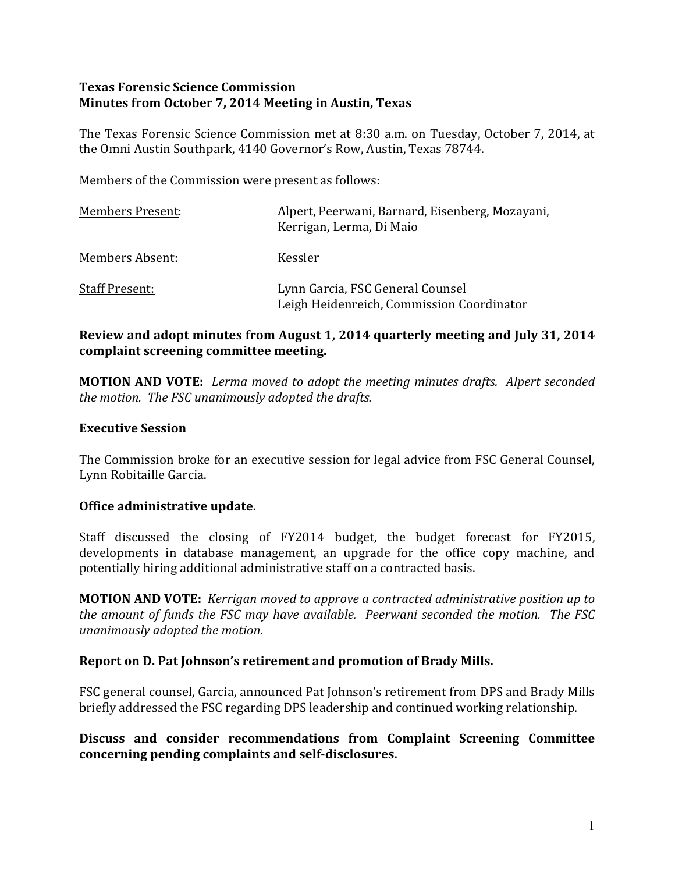## **Texas Forensic Science Commission Minutes from October 7, 2014 Meeting in Austin, Texas**

The Texas Forensic Science Commission met at 8:30 a.m. on Tuesday, October 7, 2014, at the Omni Austin Southpark, 4140 Governor's Row, Austin, Texas 78744.

Members of the Commission were present as follows:

| <b>Members Present:</b> | Alpert, Peerwani, Barnard, Eisenberg, Mozayani,<br>Kerrigan, Lerma, Di Maio   |
|-------------------------|-------------------------------------------------------------------------------|
| Members Absent:         | Kessler                                                                       |
| <b>Staff Present:</b>   | Lynn Garcia, FSC General Counsel<br>Leigh Heidenreich, Commission Coordinator |

# **Review and adopt minutes from August 1, 2014 quarterly meeting and July 31, 2014** complaint screening committee meeting.

**MOTION AND VOTE:** Lerma moved to adopt the meeting minutes drafts. Alpert seconded *the motion. The FSC unanimously adopted the drafts.* 

#### **Executive Session**

The Commission broke for an executive session for legal advice from FSC General Counsel, Lynn Robitaille Garcia.

#### **Office administrative update.**

Staff discussed the closing of FY2014 budget, the budget forecast for FY2015, developments in database management, an upgrade for the office copy machine, and potentially hiring additional administrative staff on a contracted basis.

**MOTION AND VOTE:** *Kerrigan moved to approve a contracted administrative position up to the amount of funds the FSC may have available. Peerwani seconded the motion. The FSC unanimously adopted the motion.*

#### **Report on D. Pat Johnson's retirement and promotion of Brady Mills.**

FSC general counsel, Garcia, announced Pat Johnson's retirement from DPS and Brady Mills briefly addressed the FSC regarding DPS leadership and continued working relationship.

Discuss and consider recommendations from Complaint Screening Committee concerning pending complaints and self-disclosures.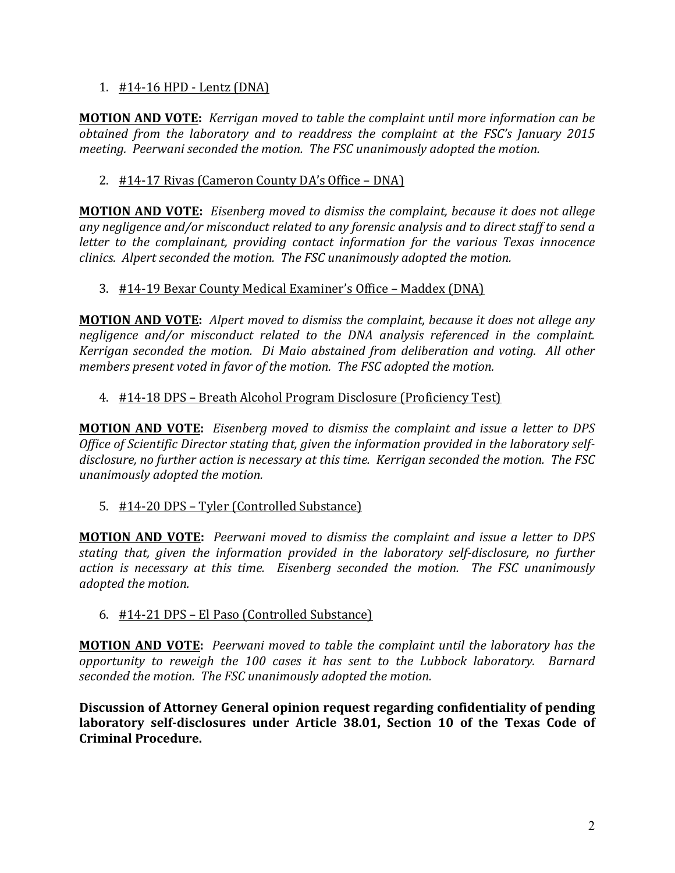## 1.  $\#14-16$  HPD - Lentz (DNA)

**MOTION AND VOTE:** *Kerrigan moved to table the complaint until more information can be obtained from the laboratory and to readdress the complaint at the FSC's January 2015 meeting. Peerwani seconded the motion. The FSC unanimously adopted the motion.* 

# 2. #14-17 Rivas (Cameron County DA's Office – DNA)

**MOTION AND VOTE:** Eisenberg moved to dismiss the complaint, because it does not allege any negligence and/or misconduct related to any forensic analysis and to direct staff to send a *letter to the complainant, providing contact information for the various Texas innocence clinics. Alpert seconded the motion. The FSC unanimously adopted the motion.* 

## 3. #14-19 Bexar County Medical Examiner's Office – Maddex (DNA)

**MOTION AND VOTE:** Alpert moved to dismiss the complaint, because it does not allege any *negligence and/or misconduct related to the DNA analysis referenced in the complaint. Kerrigan seconded the motion. Di Maio abstained from deliberation and voting. All other members present voted in favor of the motion. The FSC adopted the motion.* 

## 4. #14-18 DPS – Breath Alcohol Program Disclosure (Proficiency Test)

**MOTION AND VOTE:** Eisenberg moved to dismiss the complaint and issue a letter to DPS Office of Scientific Director stating that, given the information provided in the laboratory selfdisclosure, no further action is necessary at this time. Kerrigan seconded the motion. The FSC *unanimously adopted the motion.* 

#### 5. #14-20 DPS – Tyler (Controlled Substance)

**MOTION AND VOTE:** *Peerwani moved to dismiss the complaint and issue a letter to DPS* stating that, given the information provided in the *laboratory self-disclosure*, no further *action* is necessary at this time. Eisenberg seconded the motion. The FSC unanimously *adopted the motion.* 

#### 6. #14-21 DPS – El Paso (Controlled Substance)

**MOTION AND VOTE:** *Peerwani moved to table the complaint until the laboratory has the opportunity* to reweigh the 100 cases it has sent to the Lubbock laboratory. Barnard *seconded the motion. The FSC unanimously adopted the motion.* 

**Discussion of Attorney General opinion request regarding confidentiality of pending** laboratory self-disclosures under Article 38.01, Section 10 of the Texas Code of **Criminal Procedure.**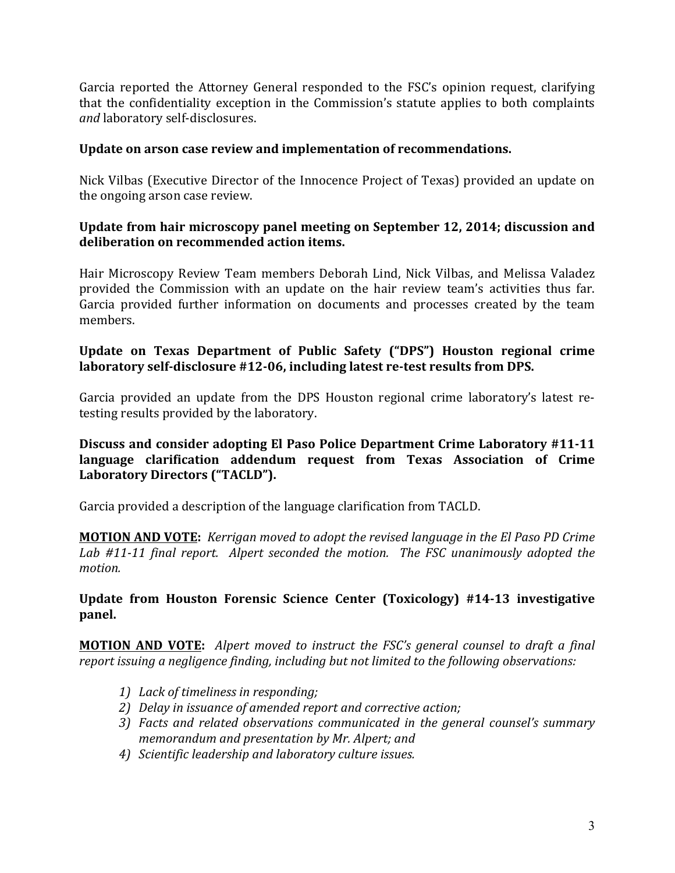Garcia reported the Attorney General responded to the FSC's opinion request, clarifying that the confidentiality exception in the Commission's statute applies to both complaints and laboratory self-disclosures.

## Update on arson case review and implementation of recommendations.

Nick Vilbas (Executive Director of the Innocence Project of Texas) provided an update on the ongoing arson case review.

## Update from hair microscopy panel meeting on September 12, 2014; discussion and deliberation on recommended action items.

Hair Microscopy Review Team members Deborah Lind, Nick Vilbas, and Melissa Valadez provided the Commission with an update on the hair review team's activities thus far. Garcia provided further information on documents and processes created by the team members.

## Update on Texas Department of Public Safety ("DPS") Houston regional crime laboratory self-disclosure #12-06, including latest re-test results from DPS.

Garcia provided an update from the DPS Houston regional crime laboratory's latest retesting results provided by the laboratory.

## **Discuss and consider adopting El Paso Police Department Crime Laboratory #11-11** language clarification addendum request from Texas Association of Crime Laboratory Directors ("TACLD").

Garcia provided a description of the language clarification from TACLD.

**MOTION AND VOTE:** *Kerrigan moved to adopt the revised language in the El Paso PD Crime* Lab #11-11 final report. Alpert seconded the motion. The FSC unanimously adopted the *motion.*

## **Update from Houston Forensic Science Center (Toxicology) #14-13 investigative** panel.

**MOTION AND VOTE:** Alpert moved to instruct the FSC's general counsel to draft a final *report issuing a negligence finding, including but not limited to the following observations:* 

- *1) Lack of timeliness in responding;*
- 2) *Delay* in issuance of amended report and corrective action;
- *3)* Facts and related observations communicated in the general counsel's summary *memorandum and presentation by Mr. Alpert; and*
- *4) Scientific leadership and laboratory culture issues.*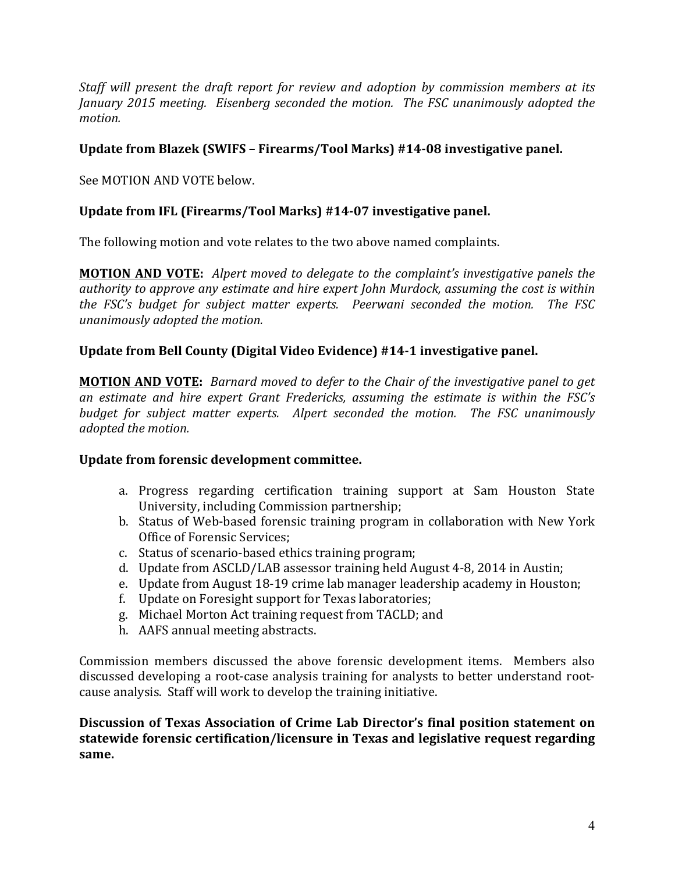*Staff* will present the draft report for review and adoption by commission members at its *January* 2015 meeting. Eisenberg seconded the motion. The FSC unanimously adopted the *motion.*

# **Update from Blazek (SWIFS - Firearms/Tool Marks) #14-08 investigative panel.**

See MOTION AND VOTE below.

# Update from IFL (Firearms/Tool Marks) #14-07 investigative panel.

The following motion and vote relates to the two above named complaints.

**MOTION AND VOTE:** Alpert moved to delegate to the complaint's investigative panels the *authority* to approve any estimate and hire expert *John Murdock,* assuming the cost is within *the FSC's budget for subject matter experts. Peerwani seconded the motion. The FSC unanimously adopted the motion.* 

## Update from Bell County (Digital Video Evidence) #14-1 investigative panel.

**MOTION AND VOTE:** Barnard moved to defer to the Chair of the investigative panel to get *an estimate and hire expert Grant Fredericks, assuming the estimate is within the FSC's budget for subject matter experts. Alpert seconded the motion. The FSC unanimously adopted the motion.*

#### Update from forensic development committee.

- a. Progress regarding certification training support at Sam Houston State University, including Commission partnership;
- b. Status of Web-based forensic training program in collaboration with New York Office of Forensic Services:
- c. Status of scenario-based ethics training program;
- d. Update from ASCLD/LAB assessor training held August 4-8, 2014 in Austin;
- e. Update from August 18-19 crime lab manager leadership academy in Houston;
- f. Update on Foresight support for Texas laboratories;
- g. Michael Morton Act training request from TACLD; and
- h. AAFS annual meeting abstracts.

Commission members discussed the above forensic development items. Members also discussed developing a root-case analysis training for analysts to better understand rootcause analysis. Staff will work to develop the training initiative.

Discussion of Texas Association of Crime Lab Director's final position statement on **statewide forensic certification/licensure in Texas and legislative request regarding same.**